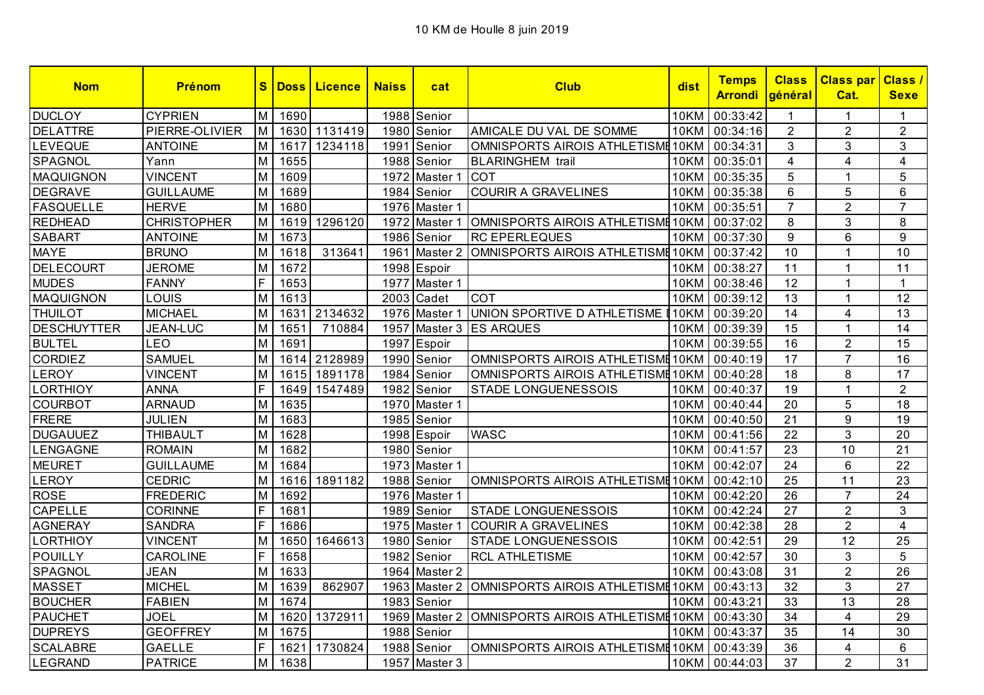| <b>Nom</b>         | <b>Prénom</b>      | $\mathbf{s}$ | <b>Doss</b> | <b>Licence</b> | <b>Naiss</b> | cat           | <b>Club</b>                       | dist        | <b>Temps</b><br><u>Arrondi</u> | <b>Class</b><br>général | <b>Class par Class /</b><br>Cat. | <b>Sexe</b>    |
|--------------------|--------------------|--------------|-------------|----------------|--------------|---------------|-----------------------------------|-------------|--------------------------------|-------------------------|----------------------------------|----------------|
| <b>DUCLOY</b>      | <b>CYPRIEN</b>     | M            | 1690        |                |              | 1988 Senior   |                                   | 10KM        | 00:33:42                       | 1                       | 1                                | 1              |
| <b>DELATTRE</b>    | PIERRE-OLIVIER     | M            | 1630        | 1131419        | 1980         | Senior        | AMICALE DU VAL DE SOMME           | 10KM        | 00:34:16                       | $\overline{2}$          | $\overline{2}$                   | $\overline{2}$ |
| <b>LEVEQUE</b>     | <b>ANTOINE</b>     | M            | 1617        | 1234118        |              | 1991 Senior   | OMNISPORTS AIROIS ATHLETISME 10KM |             | 00:34:31                       | 3                       | 3                                | 3              |
| SPAGNOL            | Yann               | M            | 1655        |                |              | 1988 Senior   | <b>BLARINGHEM</b> trail           | <b>10KM</b> | 00:35:01                       | 4                       | $\overline{4}$                   | 4              |
| <b>MAQUIGNON</b>   | <b>VINCENT</b>     | M            | 1609        |                |              | 1972 Master 1 | <b>COT</b>                        | 10KM        | 00:35:35                       | 5                       | 1                                | 5              |
| <b>DEGRAVE</b>     | <b>GUILLAUME</b>   | M            | 1689        |                |              | 1984 Senior   | <b>COURIR A GRAVELINES</b>        | 10KM        | 00:35:38                       | 6                       | 5                                | 6              |
| <b>FASQUELLE</b>   | <b>HERVE</b>       | M            | 1680        |                | 1976         | Master 1      |                                   | <b>10KM</b> | 00:35:51                       | $\overline{7}$          | $\overline{2}$                   | $\overline{7}$ |
| <b>REDHEAD</b>     | <b>CHRISTOPHER</b> | M            | 1619        | 1296120        | 1972         | Master 1      | OMNISPORTS AIROIS ATHLETISME 10KM |             | 00:37:02                       | 8                       | 3                                | 8              |
| <b>SABART</b>      | <b>ANTOINE</b>     | M            | 1673        |                |              | 1986 Senior   | <b>RC EPERLEQUES</b>              | 10KM        | 00:37:30                       | 9                       | 6                                | 9              |
| <b>MAYE</b>        | <b>BRUNO</b>       | M            | 1618        | 313641         | 1961         | Master 2      | OMNISPORTS AIROIS ATHLETISME 10KM |             | 00:37:42                       | 10                      | 1                                | 10             |
| <b>DELECOURT</b>   | <b>JEROME</b>      | M            | 1672        |                |              | 1998 Espoir   |                                   | <b>10KM</b> | 00:38:27                       | 11                      | 1                                | 11             |
| <b>MUDES</b>       | <b>FANNY</b>       | F.           | 1653        |                | 1977         | Master 1      |                                   | <b>10KM</b> | 00:38:46                       | $\overline{12}$         | 1                                | $\mathbf{1}$   |
| <b>MAQUIGNON</b>   | LOUIS              | M            | 1613        |                |              | 2003 Cadet    | COT                               | 10KM        | 00:39:12                       | 13                      | 1                                | 12             |
| <b>THUILOT</b>     | <b>MICHAEL</b>     | M            | 1631        | 2134632        |              | 1976 Master 1 | UNION SPORTIVE D ATHLETISME       | <b>10KM</b> | 00:39:20                       | 14                      | $\overline{4}$                   | 13             |
| <b>DESCHUYTTER</b> | <b>JEAN-LUC</b>    | M            | 1651        | 710884         | 1957         | Master 3      | <b>ES ARQUES</b>                  | <b>10KM</b> | 00:39:39                       | 15                      | 1                                | 14             |
| <b>BULTEL</b>      | LEO                | M            | 1691        |                | 1997         | Espoir        |                                   | <b>10KM</b> | 00:39:55                       | 16                      | $\overline{2}$                   | 15             |
| <b>CORDIEZ</b>     | <b>SAMUEL</b>      | M            | 1614        | 2128989        |              | 1990 Senior   | OMNISPORTS AIROIS ATHLETISME 10KM |             | 00:40:19                       | 17                      | $\overline{7}$                   | 16             |
| <b>LEROY</b>       | <b>VINCENT</b>     | M            | 1615        | 1891178        |              | 1984 Senior   | OMNISPORTS AIROIS ATHLETISME 10KM |             | 00:40:28                       | 18                      | 8                                | 17             |
| <b>LORTHIOY</b>    | <b>ANNA</b>        | F.           | 1649        | 1547489        |              | 1982 Senior   | STADE LONGUENESSOIS               | 10KM        | 00:40:37                       | 19                      | 1                                | $\overline{2}$ |
| <b>COURBOT</b>     | <b>ARNAUD</b>      | M            | 1635        |                |              | 1970 Master 1 |                                   | <b>10KM</b> | 00:40:44                       | 20                      | 5                                | 18             |
| <b>FRERE</b>       | <b>JULIEN</b>      | M            | 1683        |                |              | 1985 Senior   |                                   | 10KM        | 00:40:50                       | 21                      | 9                                | 19             |
| <b>DUGAUUEZ</b>    | <b>THIBAULT</b>    | M            | 1628        |                |              | 1998 Espoir   | <b>WASC</b>                       | 10KM        | 00:41:56                       | 22                      | 3                                | 20             |
| LENGAGNE           | <b>ROMAIN</b>      | M            | 1682        |                |              | 1980 Senior   |                                   | <b>10KM</b> | 00:41:57                       | 23                      | 10                               | 21             |
| <b>MEURET</b>      | <b>GUILLAUME</b>   | M            | 1684        |                |              | 1973 Master 1 |                                   | <b>10KM</b> | 00:42:07                       | 24                      | 6                                | 22             |
| <b>LEROY</b>       | <b>CEDRIC</b>      | M            | 1616        | 1891182        |              | 1988 Senior   | OMNISPORTS AIROIS ATHLETISME 10KM |             | 00:42:10                       | 25                      | 11                               | 23             |
| <b>ROSE</b>        | <b>FREDERIC</b>    | M            | 1692        |                |              | 1976 Master 1 |                                   | 10KM        | 00:42:20                       | 26                      | $\overline{7}$                   | 24             |
| CAPELLE            | <b>CORINNE</b>     | F            | 1681        |                |              | 1989 Senior   | STADE LONGUENESSOIS               | 10KM        | 00:42:24                       | 27                      | $\overline{2}$                   | 3              |
| <b>AGNERAY</b>     | <b>SANDRA</b>      | F.           | 1686        |                |              | 1975 Master 1 | <b>COURIR A GRAVELINES</b>        | <b>10KM</b> | 00:42:38                       | 28                      | $\overline{2}$                   | $\overline{4}$ |
| <b>LORTHIOY</b>    | <b>VINCENT</b>     | M            | 1650        | 1646613        |              | 1980 Senior   | <b>STADE LONGUENESSOIS</b>        | 10KM        | 00:42:51                       | 29                      | 12                               | 25             |
| <b>POUILLY</b>     | <b>CAROLINE</b>    | F.           | 1658        |                |              | 1982 Senior   | <b>RCL ATHLETISME</b>             | 10KM        | 00:42:57                       | 30                      | 3                                | 5              |
| SPAGNOL            | <b>JEAN</b>        | M            | 1633        |                |              | 1964 Master 2 |                                   | 10KM        | 00:43:08                       | 31                      | $\overline{2}$                   | 26             |
| <b>MASSET</b>      | <b>MICHEL</b>      | M            | 1639        | 862907         | 1963         | Master 2      | OMNISPORTS AIROIS ATHLETISME 10KM |             | 00:43:13                       | 32                      | 3                                | 27             |
| <b>BOUCHER</b>     | <b>FABIEN</b>      | M            | 1674        |                |              | 1983 Senior   |                                   | 10KM        | 00:43:21                       | 33                      | 13                               | 28             |
| <b>PAUCHET</b>     | <b>JOEL</b>        | M            | 1620        | 1372911        |              | 1969 Master 2 | OMNISPORTS AIROIS ATHLETISME 10KM |             | 00:43:30                       | 34                      | 4                                | 29             |
| <b>DUPREYS</b>     | <b>GEOFFREY</b>    | M            | 1675        |                |              | 1988 Senior   |                                   | 10KM        | 00:43:37                       | 35                      | 14                               | 30             |
| <b>SCALABRE</b>    | <b>GAELLE</b>      | F            | 1621        | 1730824        |              | 1988 Senior   | OMNISPORTS AIROIS ATHLETISME 10KM |             | 00:43:39                       | 36                      | 4                                | 6              |
| LEGRAND            | <b>PATRICE</b>     | M            | 1638        |                |              | 1957 Master 3 |                                   |             | 10KM 00:44:03                  | 37                      | $\overline{2}$                   | 31             |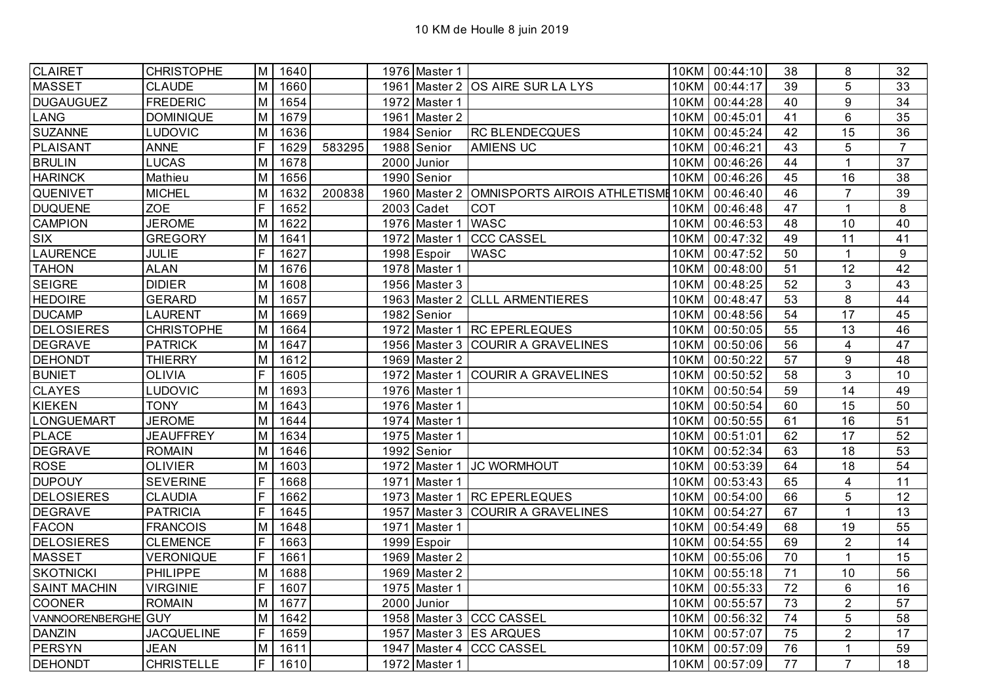| <b>CLAIRET</b>      | <b>CHRISTOPHE</b> | M           | 1640 |        | 1976 Master 1 |                                   |             | 10KM 00:44:10 | 38 | 8              | 32             |
|---------------------|-------------------|-------------|------|--------|---------------|-----------------------------------|-------------|---------------|----|----------------|----------------|
| <b>MASSET</b>       | <b>CLAUDE</b>     | M           | 1660 |        |               | 1961 Master 2 OS AIRE SUR LA LYS  |             | 10KM 00:44:17 | 39 | 5              | 33             |
| <b>DUGAUGUEZ</b>    | <b>FREDERIC</b>   | M           | 1654 |        | 1972 Master 1 |                                   |             | 10KM 00:44:28 | 40 | 9              | 34             |
| LANG                | <b>DOMINIQUE</b>  | M           | 1679 |        | 1961 Master 2 |                                   |             | 10KM 00:45:01 | 41 | 6              | 35             |
| <b>SUZANNE</b>      | <b>LUDOVIC</b>    | M           | 1636 |        | 1984 Senior   | <b>RC BLENDECQUES</b>             | 10KM        | 00:45:24      | 42 | 15             | 36             |
| PLAISANT            | <b>ANNE</b>       | F           | 1629 | 583295 | 1988 Senior   | <b>AMIENS UC</b>                  | 10KM        | 00:46:21      | 43 | 5              | $\overline{7}$ |
| <b>BRULIN</b>       | LUCAS             | M           | 1678 |        | 2000 Junior   |                                   | 10KM        | 00:46:26      | 44 | $\mathbf{1}$   | 37             |
| <b>HARINCK</b>      | Mathieu           | M           | 1656 |        | 1990 Senior   |                                   | <b>10KM</b> | 00:46:26      | 45 | 16             | 38             |
| QUENIVET            | <b>MICHEL</b>     | M           | 1632 | 200838 | 1960 Master 2 | OMNISPORTS AIROIS ATHLETISME 10KM |             | 00:46:40      | 46 | $\overline{7}$ | 39             |
| <b>DUQUENE</b>      | <b>ZOE</b>        | F           | 1652 |        | $2003$ Cadet  | <b>COT</b>                        |             | 10KM 00:46:48 | 47 | $\mathbf{1}$   | 8              |
| <b>CAMPION</b>      | <b>JEROME</b>     | M           | 1622 |        | 1976 Master 1 | <b>WASC</b>                       |             | 10KM 00:46:53 | 48 | 10             | 40             |
| SIX                 | <b>GREGORY</b>    | M           | 1641 |        | 1972 Master 1 | <b>CCC CASSEL</b>                 | <b>10KM</b> | 00:47:32      | 49 | 11             | 41             |
| <b>LAURENCE</b>     | <b>JULIE</b>      | F           | 1627 |        | 1998 Espoir   | <b>WASC</b>                       |             | 10KM 00:47:52 | 50 | $\mathbf{1}$   | 9              |
| <b>TAHON</b>        | <b>ALAN</b>       | M           | 1676 |        | 1978 Master 1 |                                   |             | 10KM 00:48:00 | 51 | 12             | 42             |
| <b>SEIGRE</b>       | <b>DIDIER</b>     | M           | 1608 |        | 1956 Master 3 |                                   |             | 10KM 00:48:25 | 52 | 3              | 43             |
| <b>HEDOIRE</b>      | <b>GERARD</b>     | M           | 1657 |        |               | 1963 Master 2 CLLL ARMENTIERES    |             | 10KM 00:48:47 | 53 | 8              | 44             |
| <b>DUCAMP</b>       | <b>LAURENT</b>    | M           | 1669 |        | 1982 Senior   |                                   |             | 10KM 00:48:56 | 54 | 17             | 45             |
| <b>DELOSIERES</b>   | <b>CHRISTOPHE</b> | M           | 1664 |        |               | 1972 Master 1 RC EPERLEQUES       |             | 10KM 00:50:05 | 55 | 13             | 46             |
| <b>DEGRAVE</b>      | <b>PATRICK</b>    | M           | 1647 |        |               | 1956 Master 3 COURIR A GRAVELINES |             | 10KM 00:50:06 | 56 | $\overline{4}$ | 47             |
| <b>DEHONDT</b>      | <b>THIERRY</b>    | M           | 1612 |        | 1969 Master 2 |                                   | <b>10KM</b> | 00:50:22      | 57 | 9              | 48             |
| <b>BUNIET</b>       | <b>OLIVIA</b>     | F           | 1605 |        |               | 1972 Master 1 COURIR A GRAVELINES |             | 10KM 00:50:52 | 58 | 3              | 10             |
| <b>CLAYES</b>       | <b>LUDOVIC</b>    | M           | 1693 |        | 1976 Master 1 |                                   | 10KM        | 00:50:54      | 59 | 14             | 49             |
| <b>KIEKEN</b>       | <b>TONY</b>       | M           | 1643 |        | 1976 Master 1 |                                   |             | 10KM 00:50:54 | 60 | 15             | 50             |
| <b>LONGUEMART</b>   | <b>JEROME</b>     | M           | 1644 |        | 1974 Master 1 |                                   |             | 10KM 00:50:55 | 61 | 16             | 51             |
| <b>PLACE</b>        | <b>JEAUFFREY</b>  | M           | 1634 |        | 1975 Master 1 |                                   |             | 10KM 00:51:01 | 62 | 17             | 52             |
| <b>DEGRAVE</b>      | <b>ROMAIN</b>     | M           | 1646 |        | 1992 Senior   |                                   |             | 10KM 00:52:34 | 63 | 18             | 53             |
| <b>ROSE</b>         | <b>OLIVIER</b>    | M           | 1603 |        | 1972 Master 1 | <b>JC WORMHOUT</b>                |             | 10KM 00:53:39 | 64 | 18             | 54             |
| <b>DUPOUY</b>       | <b>SEVERINE</b>   | F           | 1668 |        | 1971 Master 1 |                                   |             | 10KM 00:53:43 | 65 | 4              | 11             |
| <b>DELOSIERES</b>   | <b>CLAUDIA</b>    | F           | 1662 |        |               | 1973 Master 1 RC EPERLEQUES       |             | 10KM 00:54:00 | 66 | 5              | 12             |
| <b>DEGRAVE</b>      | <b>PATRICIA</b>   | $\mathsf F$ | 1645 |        |               | 1957 Master 3 COURIR A GRAVELINES |             | 10KM 00:54:27 | 67 | 1              | 13             |
| <b>FACON</b>        | <b>FRANCOIS</b>   | M           | 1648 |        | 1971 Master 1 |                                   |             | 10KM 00:54:49 | 68 | 19             | 55             |
| <b>DELOSIERES</b>   | <b>CLEMENCE</b>   | F           | 1663 |        | 1999 Espoir   |                                   |             | 10KM 00:54:55 | 69 | $\overline{2}$ | 14             |
| <b>MASSET</b>       | <b>VERONIQUE</b>  | F           | 1661 |        | 1969 Master 2 |                                   |             | 10KM 00:55:06 | 70 | $\mathbf{1}$   | 15             |
| <b>SKOTNICKI</b>    | <b>PHILIPPE</b>   | M           | 1688 |        | 1969 Master 2 |                                   |             | 10KM 00:55:18 | 71 | 10             | 56             |
| <b>SAINT MACHIN</b> | <b>VIRGINIE</b>   | F           | 1607 |        | 1975 Master 1 |                                   | 10KM        | 00:55:33      | 72 | 6              | 16             |
| <b>COONER</b>       | <b>ROMAIN</b>     | M           | 1677 |        | 2000 Junior   |                                   |             | 10KM 00:55:57 | 73 | $\overline{2}$ | 57             |
| VANNOORENBERGHE     | <b>GUY</b>        | M           | 1642 |        |               | 1958 Master 3 CCC CASSEL          | 10KM        | 00:56:32      | 74 | 5              | 58             |
| <b>DANZIN</b>       | <b>JACQUELINE</b> | F           | 1659 |        |               | 1957 Master 3 ES ARQUES           |             | 10KM 00:57:07 | 75 | $\overline{2}$ | 17             |
| <b>PERSYN</b>       | <b>JEAN</b>       | M           | 1611 |        |               | 1947 Master 4 CCC CASSEL          |             | 10KM 00:57:09 | 76 | $\mathbf{1}$   | 59             |
| <b>DEHONDT</b>      | <b>CHRISTELLE</b> | F           | 1610 |        | 1972 Master 1 |                                   |             | 10KM 00:57:09 | 77 | $\overline{7}$ | 18             |